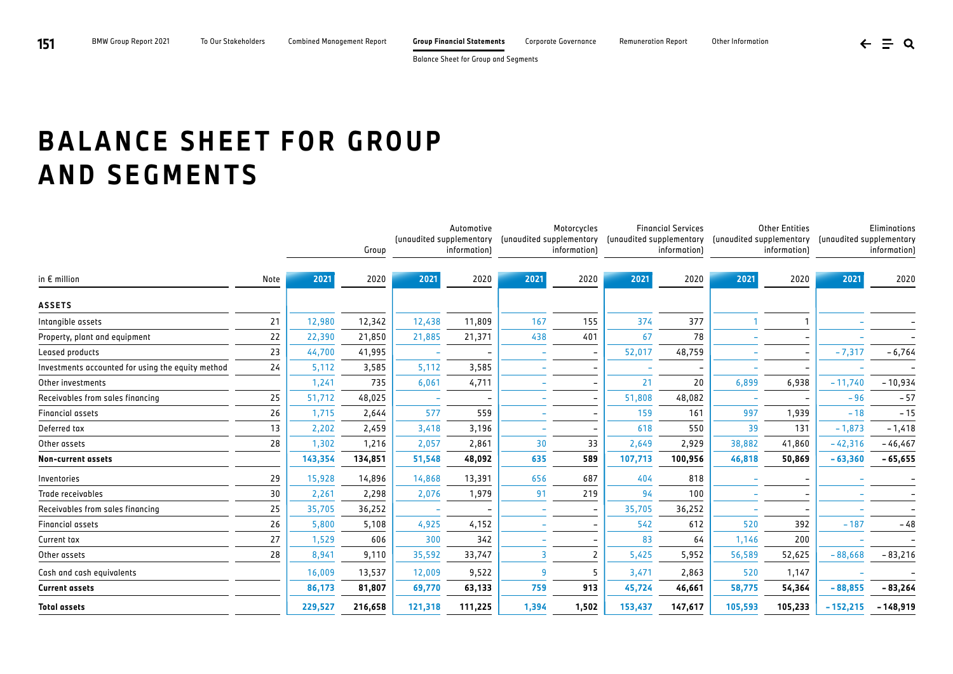Balance Sheet for Group and Segments

## **BALANCE SHEET FOR GROUP AND SEGMENTS**

|                                                   |      | Group   |         | Automotive<br>(unaudited supplementary<br>information) |                          | Motorcycles<br>(unaudited supplementary<br>information) |                | <b>Financial Services</b><br>(unaudited supplementary<br>information) |         | <b>Other Entities</b><br>(unaudited supplementary<br>information) |         | Eliminations<br>(unaudited supplementary<br>information) |            |
|---------------------------------------------------|------|---------|---------|--------------------------------------------------------|--------------------------|---------------------------------------------------------|----------------|-----------------------------------------------------------------------|---------|-------------------------------------------------------------------|---------|----------------------------------------------------------|------------|
| in $E$ million                                    | Note | 2021    | 2020    | 2021                                                   | 2020                     | 2021                                                    | 2020           | 2021                                                                  | 2020    | 2021                                                              | 2020    | 2021                                                     | 2020       |
| <b>ASSETS</b>                                     |      |         |         |                                                        |                          |                                                         |                |                                                                       |         |                                                                   |         |                                                          |            |
| Intangible assets                                 | 21   | 12,980  | 12,342  | 12,438                                                 | 11,809                   | 167                                                     | 155            | 374                                                                   | 377     |                                                                   |         |                                                          |            |
| Property, plant and equipment                     | 22   | 22,390  | 21,850  | 21,885                                                 | 21,371                   | 438                                                     | 401            | 67                                                                    | 78      |                                                                   |         |                                                          |            |
| Leased products                                   | 23   | 44,700  | 41,995  |                                                        |                          |                                                         |                | 52,017                                                                | 48,759  |                                                                   |         | $-7,317$                                                 | $-6,764$   |
| Investments accounted for using the equity method | 24   | 5,112   | 3,585   | 5,112                                                  | 3,585                    |                                                         |                |                                                                       |         |                                                                   |         |                                                          |            |
| Other investments                                 |      | 1,241   | 735     | 6,061                                                  | 4,711                    |                                                         |                | 21                                                                    | 20      | 6,899                                                             | 6,938   | $-11,740$                                                | - 10,934   |
| Receivables from sales financing                  | 25   | 51,712  | 48,025  |                                                        |                          |                                                         |                | 51,808                                                                | 48,082  |                                                                   |         | $-96$                                                    | $-57$      |
| <b>Financial assets</b>                           | 26   | 1,715   | 2,644   | 577                                                    | 559                      |                                                         |                | 159                                                                   | 161     | 997                                                               | 1,939   | $-18$                                                    | $-15$      |
| Deferred tax                                      | 13   | 2,202   | 2,459   | 3,418                                                  | 3,196                    |                                                         |                | 618                                                                   | 550     | 39                                                                | 131     | $-1,873$                                                 | $-1,418$   |
| Other assets                                      | 28   | 1,302   | 1,216   | 2,057                                                  | 2,861                    | 30                                                      | 33             | 2,649                                                                 | 2,929   | 38,882                                                            | 41,860  | $-42,316$                                                | $-46,467$  |
| <b>Non-current assets</b>                         |      | 143,354 | 134,851 | 51,548                                                 | 48,092                   | 635                                                     | 589            | 107,713                                                               | 100,956 | 46,818                                                            | 50,869  | $-63,360$                                                | $-65,655$  |
| Inventories                                       | 29   | 15,928  | 14,896  | 14,868                                                 | 13,391                   | 656                                                     | 687            | 404                                                                   | 818     |                                                                   |         |                                                          |            |
| Trade receivables                                 | 30   | 2,261   | 2,298   | 2,076                                                  | 1,979                    | 91                                                      | 219            | 94                                                                    | 100     |                                                                   |         |                                                          |            |
| Receivables from sales financing                  | 25   | 35,705  | 36,252  |                                                        | $\overline{\phantom{0}}$ |                                                         |                | 35,705                                                                | 36,252  |                                                                   |         |                                                          |            |
| <b>Financial assets</b>                           | 26   | 5,800   | 5,108   | 4,925                                                  | 4,152                    |                                                         |                | 542                                                                   | 612     | 520                                                               | 392     | $-187$                                                   | $-48$      |
| Current tax                                       | 27   | 1,529   | 606     | 300                                                    | 342                      |                                                         |                | 83                                                                    | 64      | 1,146                                                             | 200     |                                                          |            |
| Other assets                                      | 28   | 8,941   | 9,110   | 35,592                                                 | 33,747                   | $\overline{a}$                                          | $\overline{2}$ | 5,425                                                                 | 5,952   | 56,589                                                            | 52,625  | $-88,668$                                                | $-83,216$  |
| Cash and cash equivalents                         |      | 16,009  | 13,537  | 12,009                                                 | 9,522                    | 9                                                       | 5              | 3,471                                                                 | 2,863   | 520                                                               | 1,147   |                                                          |            |
| <b>Current assets</b>                             |      | 86,173  | 81,807  | 69,770                                                 | 63,133                   | 759                                                     | 913            | 45,724                                                                | 46,661  | 58,775                                                            | 54,364  | $-88,855$                                                | $-83,264$  |
| <b>Total assets</b>                               |      | 229,527 | 216,658 | 121,318                                                | 111,225                  | 1,394                                                   | 1,502          | 153,437                                                               | 147,617 | 105,593                                                           | 105,233 | $-152,215$                                               | $-148,919$ |